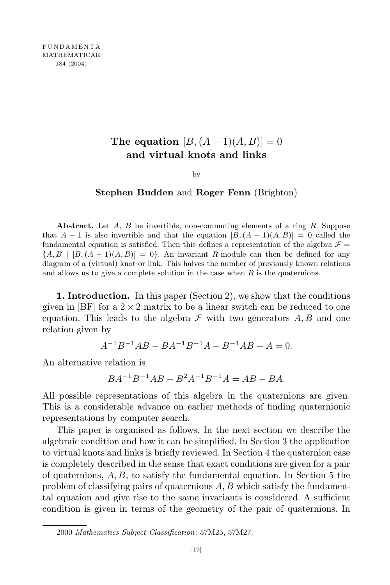## **The equation**  $[B, (A-1)(A, B)] = 0$ **and virtual knots and links**

by

## **Stephen Budden** and **Roger Fenn** (Brighton)

**Abstract.** Let *A*, *B* be invertible, non-commuting elements of a ring *R*. Suppose that  $A - 1$  is also invertible and that the equation  $[B, (A - 1)(A, B)] = 0$  called the fundamental equation is satisfied. Then this defines a representation of the algebra  $\mathcal{F} =$  ${A, B | [B, (A-1)(A, B)] = 0}$ . An invariant *R*-module can then be defined for any diagram of a (virtual) knot or link. This halves the number of previously known relations and allows us to give a complete solution in the case when *R* is the quaternions.

**1. Introduction.** In this paper (Section 2), we show that the conditions given in [BF] for a  $2 \times 2$  matrix to be a linear switch can be reduced to one equation. This leads to the algebra  $\mathcal F$  with two generators  $A, B$  and one relation given by

$$
A^{-1}B^{-1}AB - BA^{-1}B^{-1}A - B^{-1}AB + A = 0.
$$

An alternative relation is

$$
BA^{-1}B^{-1}AB - B^2A^{-1}B^{-1}A = AB - BA.
$$

All possible representations of this algebra in the quaternions are given. This is a considerable advance on earlier methods of finding quaternionic representations by computer search.

This paper is organised as follows. In the next section we describe the algebraic condition and how it can be simplified. In Section 3 the application to virtual knots and links is briefly reviewed. In Section 4 the quaternion case is completely described in the sense that exact conditions are given for a pair of quaternions, *A, B*, to satisfy the fundamental equation. In Section 5 the problem of classifying pairs of quaternions *A, B* which satisfy the fundamental equation and give rise to the same invariants is considered. A sufficient condition is given in terms of the geometry of the pair of quaternions. In

<sup>2000</sup> *Mathematics Subject Classification*: 57M25, 57M27.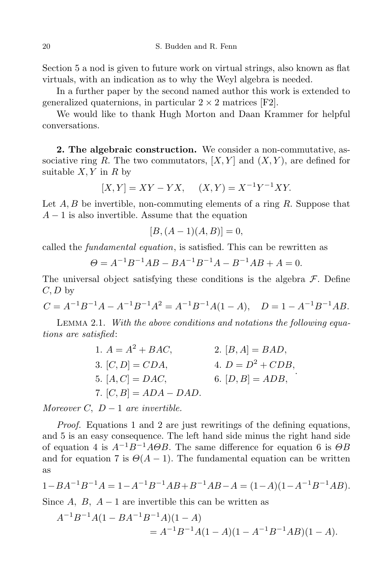Section 5 a nod is given to future work on virtual strings, also known as flat virtuals, with an indication as to why the Weyl algebra is needed.

In a further paper by the second named author this work is extended to generalized quaternions, in particular  $2 \times 2$  matrices [F2].

We would like to thank Hugh Morton and Daan Krammer for helpful conversations.

**2. The algebraic construction.** We consider a non-commutative, associative ring *R*. The two commutators,  $[X, Y]$  and  $(X, Y)$ , are defined for suitable  $X, Y$  in  $R$  by

$$
[X,Y] = XY - YX, \quad (X,Y) = X^{-1}Y^{-1}XY.
$$

Let *A, B* be invertible, non-commuting elements of a ring *R*. Suppose that *A* − 1 is also invertible. Assume that the equation

$$
[B, (A-1)(A, B)] = 0,
$$

called the *fundamental equation*, is satisfied. This can be rewritten as

$$
\Theta = A^{-1}B^{-1}AB - BA^{-1}B^{-1}A - B^{-1}AB + A = 0.
$$

The universal object satisfying these conditions is the algebra *F*. Define *C, D* by

$$
C = A^{-1}B^{-1}A - A^{-1}B^{-1}A^{2} = A^{-1}B^{-1}A(1 - A), \quad D = 1 - A^{-1}B^{-1}AB.
$$

Lemma 2.1. *With the above conditions and notations the following equations are satisfied*:

1. 
$$
A = A^2 + BAC
$$
,  
\n2.  $[B, A] = BAD$ ,  
\n3.  $[C, D] = CDA$ ,  
\n4.  $D = D^2 + CDB$ ,  
\n5.  $[A, C] = DAC$ ,  
\n6.  $[D, B] = ADB$ ,  
\n7.  $[C, B] = ADA - DAD$ .

*Moreover*  $C$ ,  $D-1$  *are invertible.* 

*Proof.* Equations 1 and 2 are just rewritings of the defining equations, and 5 is an easy consequence. The left hand side minus the right hand side of equation 4 is *A−*1*B−*1*AΘB*. The same difference for equation 6 is *ΘB* and for equation 7 is  $\Theta(A-1)$ . The fundamental equation can be written as

$$
1 - BA^{-1}B^{-1}A = 1 - A^{-1}B^{-1}AB + B^{-1}AB - A = (1 - A)(1 - A^{-1}B^{-1}AB).
$$

Since  $A$ ,  $B$ ,  $A - 1$  are invertible this can be written as

$$
A^{-1}B^{-1}A(1 - BA^{-1}B^{-1}A)(1 - A)
$$
  
=  $A^{-1}B^{-1}A(1 - A)(1 - A^{-1}B^{-1}AB)(1 - A)$ .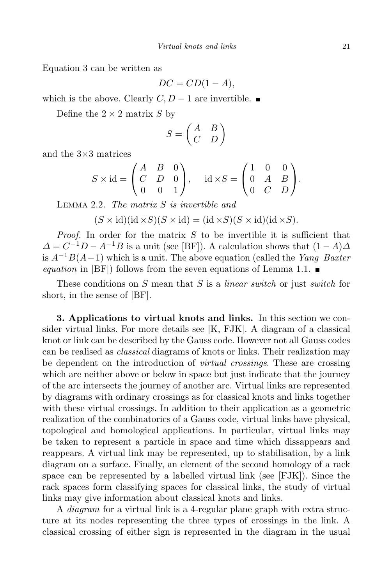Equation 3 can be written as

$$
DC = CD(1 - A),
$$

which is the above. Clearly  $C, D - 1$  are invertible. ■

Define the  $2 \times 2$  matrix *S* by

$$
S = \begin{pmatrix} A & B \\ C & D \end{pmatrix}
$$

and the 3*×*3 matrices

$$
S \times id = \begin{pmatrix} A & B & 0 \\ C & D & 0 \\ 0 & 0 & 1 \end{pmatrix}, \quad id \times S = \begin{pmatrix} 1 & 0 & 0 \\ 0 & A & B \\ 0 & C & D \end{pmatrix}.
$$

Lemma 2.2. *The matrix S is invertible and*

$$
(S \times \mathrm{id})(\mathrm{id} \times S)(S \times \mathrm{id}) = (\mathrm{id} \times S)(S \times \mathrm{id})(\mathrm{id} \times S).
$$

*Proof.* In order for the matrix *S* to be invertible it is sufficient that  $\Delta = C^{-1}D - A^{-1}B$  is a unit (see [BF]). A calculation shows that  $(1 - A)\Delta$ is *<sup>A</sup>−*1*B*(*A−*1) which is <sup>a</sup> unit. The above equation (called the *Yang–Baxter equation* in [BF]) follows from the seven equations of Lemma 1.1.  $\blacksquare$ 

These conditions on *S* mean that *S* is a *linear switch* or just *switch* for short, in the sense of [BF].

**3. Applications to virtual knots and links.** In this section we consider virtual links. For more details see [K, FJK]. A diagram of a classical knot or link can be described by the Gauss code. However not all Gauss codes can be realised as *classical* diagrams of knots or links. Their realization may be dependent on the introduction of *virtual crossings*. These are crossing which are neither above or below in space but just indicate that the journey of the arc intersects the journey of another arc. Virtual links are represented by diagrams with ordinary crossings as for classical knots and links together with these virtual crossings. In addition to their application as a geometric realization of the combinatorics of a Gauss code, virtual links have physical, topological and homological applications. In particular, virtual links may be taken to represent a particle in space and time which dissappears and reappears. A virtual link may be represented, up to stabilisation, by a link diagram on a surface. Finally, an element of the second homology of a rack space can be represented by a labelled virtual link (see [FJK]). Since the rack spaces form classifying spaces for classical links, the study of virtual links may give information about classical knots and links.

A *diagram* for a virtual link is a 4-regular plane graph with extra structure at its nodes representing the three types of crossings in the link. A classical crossing of either sign is represented in the diagram in the usual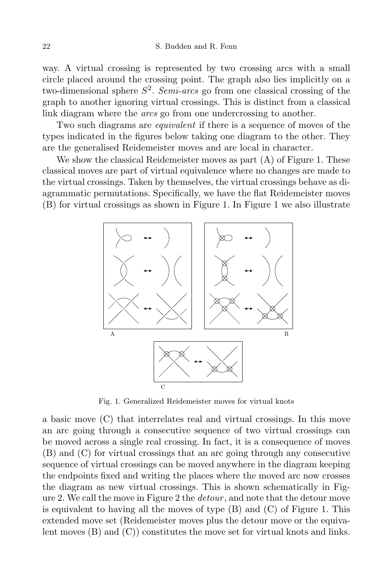way. A virtual crossing is represented by two crossing arcs with a small circle placed around the crossing point. The graph also lies implicitly on a two-dimensional sphere *S* 2 . *Semi-arcs* go from one classical crossing of the graph to another ignoring virtual crossings. This is distinct from a classical link diagram where the *arcs* go from one undercrossing to another.

Two such diagrams are *equivalent* if there is a sequence of moves of the types indicated in the figures below taking one diagram to the other. They are the generalised Reidemeister moves and are local in character.

We show the classical Reidemeister moves as part (A) of Figure 1. These classical moves are part of virtual equivalence where no changes are made to the virtual crossings. Taken by themselves, the virtual crossings behave as diagrammatic permutations. Specifically, we have the flat Reidemeister moves (B) for virtual crossings as shown in Figure 1. In Figure 1 we also illustrate



Fig. 1. Generalized Reidemeister moves for virtual knots

a basic move (C) that interrelates real and virtual crossings. In this move an arc going through a consecutive sequence of two virtual crossings can be moved across a single real crossing. In fact, it is a consequence of moves (B) and (C) for virtual crossings that an arc going through any consecutive sequence of virtual crossings can be moved anywhere in the diagram keeping the endpoints fixed and writing the places where the moved arc now crosses the diagram as new virtual crossings. This is shown schematically in Figure 2. We call the move in Figure 2 the *detour* , and note that the detour move is equivalent to having all the moves of type  $(B)$  and  $(C)$  of Figure 1. This extended move set (Reidemeister moves plus the detour move or the equivalent moves (B) and (C)) constitutes the move set for virtual knots and links.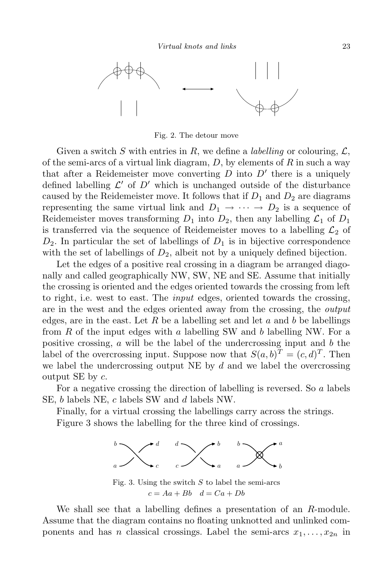

Fig. 2. The detour move

Given a switch *S* with entries in *R*, we define a *labelling* or colouring,  $\mathcal{L}$ , of the semi-arcs of a virtual link diagram, *D*, by elements of *R* in such a way that after a Reidemeister move converting  $D$  into  $D'$  there is a uniquely defined labelling  $\mathcal{L}'$  of  $D'$  which is unchanged outside of the disturbance caused by the Reidemeister move. It follows that if  $D_1$  and  $D_2$  are diagrams representing the same virtual link and  $D_1 \rightarrow \cdots \rightarrow D_2$  is a sequence of Reidemeister moves transforming  $D_1$  into  $D_2$ , then any labelling  $\mathcal{L}_1$  of  $D_1$ is transferred via the sequence of Reidemeister moves to a labelling  $\mathcal{L}_2$  of  $D_2$ . In particular the set of labellings of  $D_1$  is in bijective correspondence with the set of labellings of  $D_2$ , albeit not by a uniquely defined bijection.

Let the edges of a positive real crossing in a diagram be arranged diagonally and called geographically NW, SW, NE and SE. Assume that initially the crossing is oriented and the edges oriented towards the crossing from left to right, i.e. west to east. The *input* edges, oriented towards the crossing, are in the west and the edges oriented away from the crossing, the *output* edges, are in the east. Let  $R$  be a labelling set and let  $a$  and  $b$  be labellings from *R* of the input edges with *a* labelling SW and *b* labelling NW. For a positive crossing, *a* will be the label of the undercrossing input and *b* the label of the overcrossing input. Suppose now that  $S(a, b)^T = (c, d)^T$ . Then we label the undercrossing output NE by *d* and we label the overcrossing output SE by *c*.

For a negative crossing the direction of labelling is reversed. So *a* labels SE, *b* labels NE, *c* labels SW and *d* labels NW.

Finally, for a virtual crossing the labellings carry across the strings.

Figure 3 shows the labelling for the three kind of crossings.



Fig. 3. Using the switch *S* to label the semi-arcs  $c = Aa + Bb$   $d = Ca + Db$ 

We shall see that a labelling defines a presentation of an *R*-module. Assume that the diagram contains no floating unknotted and unlinked components and has *n* classical crossings. Label the semi-arcs  $x_1, \ldots, x_{2n}$  in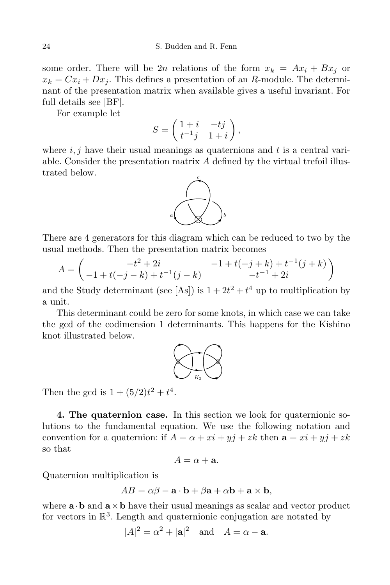some order. There will be 2*n* relations of the form  $x_k = Ax_i + Bx_j$  or  $x_k = Cx_i + Dx_j$ . This defines a presentation of an *R*-module. The determinant of the presentation matrix when available gives a useful invariant. For full details see [BF].

For example let

$$
S = \begin{pmatrix} 1+i & -tj \\ t^{-1}j & 1+i \end{pmatrix},
$$

where  $i, j$  have their usual meanings as quaternions and  $t$  is a central variable. Consider the presentation matrix *A* defined by the virtual trefoil illustrated below.



There are 4 generators for this diagram which can be reduced to two by the usual methods. Then the presentation matrix becomes

$$
A = \begin{pmatrix} -t^2 + 2i & -1 + t(-j+k) + t^{-1}(j+k) \\ -1 + t(-j-k) + t^{-1}(j-k) & -t^{-1} + 2i \end{pmatrix}
$$

and the Study determinant (see [As]) is  $1 + 2t^2 + t^4$  up to multiplication by a unit.

This determinant could be zero for some knots, in which case we can take the gcd of the codimension 1 determinants. This happens for the Kishino knot illustrated below.



Then the gcd is  $1 + (5/2)t^2 + t^4$ .

**4. The quaternion case.** In this section we look for quaternionic solutions to the fundamental equation. We use the following notation and convention for a quaternion: if  $A = \alpha + xi + yj + zk$  then  $\mathbf{a} = xi + yj + zk$ so that

$$
A = \alpha + \mathbf{a}.
$$

Quaternion multiplication is

$$
AB = \alpha\beta - \mathbf{a} \cdot \mathbf{b} + \beta\mathbf{a} + \alpha\mathbf{b} + \mathbf{a} \times \mathbf{b},
$$

where  $\mathbf{a} \cdot \mathbf{b}$  and  $\mathbf{a} \times \mathbf{b}$  have their usual meanings as scalar and vector product for vectors in  $\mathbb{R}^3$ . Length and quaternionic conjugation are notated by

$$
|A|^2 = \alpha^2 + |\mathbf{a}|^2 \quad \text{and} \quad \overline{A} = \alpha - \mathbf{a}.
$$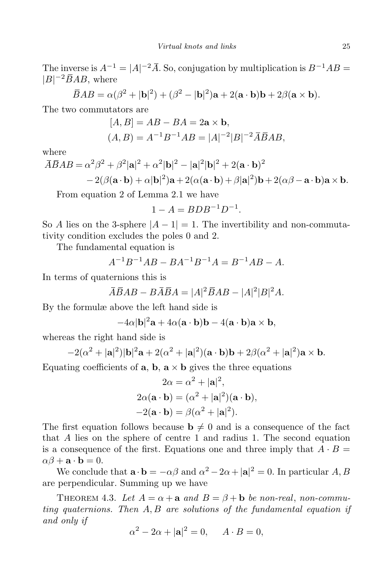The inverse is  $A^{-1} = |A|^{-2} \overline{A}$ . So, conjugation by multiplication is  $B^{-1}AB =$ *|B| <sup>−</sup>*2*BAB*, where

$$
\overline{B}AB = \alpha(\beta^2 + |\mathbf{b}|^2) + (\beta^2 - |\mathbf{b}|^2)\mathbf{a} + 2(\mathbf{a} \cdot \mathbf{b})\mathbf{b} + 2\beta(\mathbf{a} \times \mathbf{b}).
$$

The two commutators are

$$
[A, B] = AB - BA = 2a \times b,
$$
  
(A, B) = A<sup>-1</sup>B<sup>-1</sup>AB = |A|<sup>-2</sup>|B|<sup>-2</sup>ABAB,

where

$$
\overline{A}\overline{B}AB = \alpha^2\beta^2 + \beta^2|\mathbf{a}|^2 + \alpha^2|\mathbf{b}|^2 - |\mathbf{a}|^2|\mathbf{b}|^2 + 2(\mathbf{a}\cdot\mathbf{b})^2
$$
  
-2( $\beta$ ( $\mathbf{a}\cdot\mathbf{b}$ ) +  $\alpha$ | $\mathbf{b}$ |<sup>2</sup>) $\mathbf{a}$  + 2( $\alpha$ ( $\mathbf{a}\cdot\mathbf{b}$ ) +  $\beta$ | $\mathbf{a}$ |<sup>2</sup>) $\mathbf{b}$  + 2( $\alpha\beta$  -  $\mathbf{a}\cdot\mathbf{b}$ ) $\mathbf{a}$  ×  $\mathbf{b}$ .

From equation 2 of Lemma 2.1 we have

$$
1 - A = BDB^{-1}D^{-1}.
$$

So *A* lies on the 3-sphere  $|A - 1| = 1$ . The invertibility and non-commutativity condition excludes the poles 0 and 2.

The fundamental equation is

$$
A^{-1}B^{-1}AB - BA^{-1}B^{-1}A = B^{-1}AB - A.
$$

In terms of quaternions this is

$$
\overline{A}\overline{B}AB - B\overline{A}\overline{B}A = |A|^2\overline{B}AB - |A|^2|B|^2A.
$$

By the formulæ above the left hand side is

$$
-4\alpha |\mathbf{b}|^2 \mathbf{a} + 4\alpha (\mathbf{a} \cdot \mathbf{b}) \mathbf{b} - 4(\mathbf{a} \cdot \mathbf{b}) \mathbf{a} \times \mathbf{b},
$$

whereas the right hand side is

$$
-2(\alpha^2+|\mathbf{a}|^2)|\mathbf{b}|^2\mathbf{a}+2(\alpha^2+|\mathbf{a}|^2)(\mathbf{a}\cdot\mathbf{b})\mathbf{b}+2\beta(\alpha^2+|\mathbf{a}|^2)\mathbf{a}\times\mathbf{b}.
$$

Equating coefficients of **a**, **b**,  $\mathbf{a} \times \mathbf{b}$  gives the three equations

$$
2\alpha = \alpha^2 + |\mathbf{a}|^2,
$$
  
\n
$$
2\alpha(\mathbf{a} \cdot \mathbf{b}) = (\alpha^2 + |\mathbf{a}|^2)(\mathbf{a} \cdot \mathbf{b}),
$$
  
\n
$$
-2(\mathbf{a} \cdot \mathbf{b}) = \beta(\alpha^2 + |\mathbf{a}|^2).
$$

The first equation follows because  $\mathbf{b} \neq 0$  and is a consequence of the fact that *A* lies on the sphere of centre 1 and radius 1. The second equation is a consequence of the first. Equations one and three imply that  $A \cdot B =$  $\alpha\beta + \mathbf{a} \cdot \mathbf{b} = 0.$ 

We conclude that  $\mathbf{a} \cdot \mathbf{b} = -\alpha \beta$  and  $\alpha^2 - 2\alpha + |\mathbf{a}|^2 = 0$ . In particular *A*, *B* are perpendicular. Summing up we have

THEOREM 4.3. Let  $A = \alpha + a$  and  $B = \beta + b$  be non-real, non-commu*ting quaternions. Then A, B are solutions of the fundamental equation if and only if*

$$
\alpha^2 - 2\alpha + |\mathbf{a}|^2 = 0, \quad A \cdot B = 0,
$$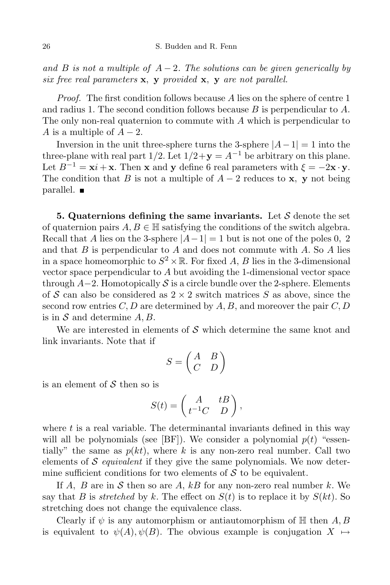*and B is not a multiple of*  $A-2$ *. The solutions can be given generically by six free real parameters* **x***,* **y** *provided* **x***,* **y** *are not parallel.*

*Proof.* The first condition follows because *A* lies on the sphere of centre 1 and radius 1. The second condition follows because *B* is perpendicular to *A*. The only non-real quaternion to commute with *A* which is perpendicular to *A* is a multiple of  $A-2$ .

Inversion in the unit three-sphere turns the 3-sphere  $|A-1|=1$  into the three-plane with real part  $1/2$ . Let  $1/2 + y = A^{-1}$  be arbitrary on this plane. Let  $B^{-1} = \mathbf{x}i + \mathbf{x}$ . Then **x** and **y** define 6 real parameters with  $\xi = -2\mathbf{x} \cdot \mathbf{y}$ . The condition that *B* is not a multiple of  $A - 2$  reduces to **x**, **y** not being parallel.

**5. Quaternions defining the same invariants.** Let *S* denote the set of quaternion pairs  $A, B \in \mathbb{H}$  satisfying the conditions of the switch algebra. Recall that *A* lies on the 3-sphere  $|A-1|=1$  but is not one of the poles 0, 2 and that *B* is perpendicular to *A* and does not commute with *A*. So *A* lies in a space homeomorphic to  $S^2 \times \mathbb{R}$ . For fixed *A*, *B* lies in the 3-dimensional vector space perpendicular to *A* but avoiding the 1-dimensional vector space through *A−*2. Homotopically *S* is a circle bundle over the 2-sphere. Elements of *S* can also be considered as 2 *×* 2 switch matrices *S* as above, since the second row entries  $C, D$  are determined by  $A, B$ , and moreover the pair  $C, D$ is in *S* and determine *A, B*.

We are interested in elements of *S* which determine the same knot and link invariants. Note that if

$$
S = \begin{pmatrix} A & B \\ C & D \end{pmatrix}
$$

is an element of *S* then so is

$$
S(t) = \begin{pmatrix} A & tB \\ t^{-1}C & D \end{pmatrix},
$$

where t is a real variable. The determinantal invariants defined in this way will all be polynomials (see  $[BF]$ ). We consider a polynomial  $p(t)$  "essentially" the same as  $p(kt)$ , where k is any non-zero real number. Call two elements of *S equivalent* if they give the same polynomials. We now determine sufficient conditions for two elements of  $S$  to be equivalent.

If  $A$ ,  $B$  are in  $S$  then so are  $A$ ,  $kB$  for any non-zero real number  $k$ . We say that *B* is *stretched* by *k*. The effect on  $S(t)$  is to replace it by  $S(kt)$ . So stretching does not change the equivalence class.

Clearly if  $\psi$  is any automorphism or antiautomorphism of  $\mathbb{H}$  then  $A, B$ is equivalent to  $\psi(A), \psi(B)$ . The obvious example is conjugation  $X \mapsto$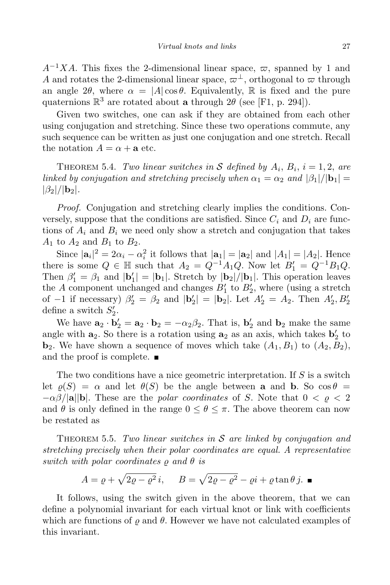$A^{-1}XA$ . This fixes the 2-dimensional linear space,  $\varpi$ , spanned by 1 and *A* and rotates the 2-dimensional linear space,  $\varpi^{\perp}$ , orthogonal to  $\varpi$  through an angle 2 $\theta$ , where  $\alpha = |A| \cos \theta$ . Equivalently, R is fixed and the pure quaternions  $\mathbb{R}^3$  are rotated about **a** through  $2\theta$  (see [F1, p. 294]).

Given two switches, one can ask if they are obtained from each other using conjugation and stretching. Since these two operations commute, any such sequence can be written as just one conjugation and one stretch. Recall the notation  $A = \alpha + a$  etc.

THEOREM 5.4. *Two linear switches* in S defined by  $A_i$ ,  $B_i$ ,  $i = 1, 2$ , are *linked by conjugation and stretching precisely when*  $\alpha_1 = \alpha_2$  *and*  $|\beta_1|/|\mathbf{b}_1| =$  $|\beta_2|/|\mathbf{b}_2|$ *.* 

*Proof.* Conjugation and stretching clearly implies the conditions. Conversely, suppose that the conditions are satisfied. Since  $C_i$  and  $D_i$  are functions of  $A_i$  and  $B_i$  we need only show a stretch and conjugation that takes  $A_1$  to  $A_2$  and  $B_1$  to  $B_2$ .

Since  $|\mathbf{a}_i|^2 = 2\alpha_i - \alpha_i^2$  it follows that  $|\mathbf{a}_1| = |\mathbf{a}_2|$  and  $|A_1| = |A_2|$ . Hence there is some  $Q \in \mathbb{H}$  such that  $A_2 = Q^{-1}A_1Q$ . Now let  $B'_1 = Q^{-1}B_1Q$ . Then  $\beta'_1 = \beta_1$  and  $|\mathbf{b}'_1| = |\mathbf{b}_1|$ . Stretch by  $|\mathbf{b}_2|/|\mathbf{b}_1|$ . This operation leaves the *A* component unchanged and changes  $B_1'$  to  $B_2'$ , where (using a stretch of *−*1 if necessary)  $\beta_2' = \beta_2$  and  $|\mathbf{b}_2'| = |\mathbf{b}_2|$ . Let  $A_2' = A_2$ . Then  $A_2', B_2'$ define a switch  $S_2'$ .

We have  $\mathbf{a}_2 \cdot \mathbf{b}_2' = \mathbf{a}_2 \cdot \mathbf{b}_2 = -\alpha_2 \beta_2$ . That is,  $\mathbf{b}_2'$  and  $\mathbf{b}_2$  make the same angle with  $\mathbf{a}_2$ . So there is a rotation using  $\mathbf{a}_2$  as an axis, which takes  $\mathbf{b}'_2$  to **b**<sub>2</sub>. We have shown a sequence of moves which take  $(A_1, B_1)$  to  $(A_2, B_2)$ , and the proof is complete.  $\blacksquare$ 

The two conditions have a nice geometric interpretation. If *S* is a switch let  $\rho(S) = \alpha$  and let  $\theta(S)$  be the angle between **a** and **b**. So  $\cos \theta =$  $-\alpha\beta/|\mathbf{a}||\mathbf{b}|$ . These are the *polar coordinates* of *S*. Note that  $0 < \rho < 2$ and  $\theta$  is only defined in the range  $0 \leq \theta \leq \pi$ . The above theorem can now be restated as

Theorem 5.5. *Two linear switches in S are linked by conjugation and stretching precisely when their polar coordinates are equal. A representative*  $switch$  *with*  $polar$  *coordinates*  $\rho$  *and*  $\theta$  *is* 

$$
A = \varrho + \sqrt{2\varrho - \varrho^2} i, \quad B = \sqrt{2\varrho - \varrho^2} - \varrho i + \varrho \tan \theta j. \blacksquare
$$

It follows, using the switch given in the above theorem, that we can define a polynomial invariant for each virtual knot or link with coefficients which are functions of  $\rho$  and  $\theta$ . However we have not calculated examples of this invariant.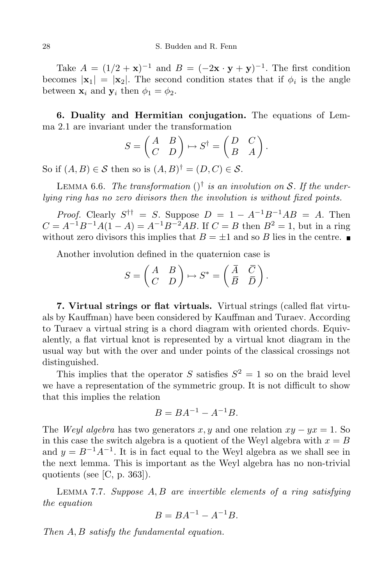Take  $A = (1/2 + x)^{-1}$  and  $B = (-2x \cdot y + y)^{-1}$ . The first condition becomes  $|\mathbf{x}_1| = |\mathbf{x}_2|$ . The second condition states that if  $\phi_i$  is the angle between  $\mathbf{x}_i$  and  $\mathbf{y}_i$  then  $\phi_1 = \phi_2$ .

**6. Duality and Hermitian conjugation.** The equations of Lemma 2.1 are invariant under the transformation

$$
S = \begin{pmatrix} A & B \\ C & D \end{pmatrix} \mapsto S^{\dagger} = \begin{pmatrix} D & C \\ B & A \end{pmatrix}.
$$

So if  $(A, B) \in S$  then so is  $(A, B)^{\dagger} = (D, C) \in S$ .

LEMMA 6.6. *The transformation*  $()^{\dagger}$  *is an involution on S. If the underlying ring has no zero divisors then the involution is without fixed points.*

*Proof.* Clearly  $S^{\dagger\dagger} = S$ . Suppose  $D = 1 - A^{-1}B^{-1}AB = A$ . Then  $C = A^{-1}B^{-1}A(1 - A) = A^{-1}B^{-2}AB$ . If  $C = B$  then  $B^2 = 1$ , but in a ring without zero divisors this implies that  $B = \pm 1$  and so *B* lies in the centre.

Another involution defined in the quaternion case is

$$
S = \begin{pmatrix} A & B \\ C & D \end{pmatrix} \mapsto S^* = \begin{pmatrix} \overline{A} & \overline{C} \\ \overline{B} & \overline{D} \end{pmatrix}.
$$

**7. Virtual strings or flat virtuals.** Virtual strings (called flat virtuals by Kauffman) have been considered by Kauffman and Turaev. According to Turaev a virtual string is a chord diagram with oriented chords. Equivalently, a flat virtual knot is represented by a virtual knot diagram in the usual way but with the over and under points of the classical crossings not distinguished.

This implies that the operator *S* satisfies  $S^2 = 1$  so on the braid level we have a representation of the symmetric group. It is not difficult to show that this implies the relation

$$
B = BA^{-1} - A^{-1}B.
$$

The *Weyl algebra* has two generators  $x, y$  and one relation  $xy - yx = 1$ . So in this case the switch algebra is a quotient of the Weyl algebra with  $x = B$ and  $y = B^{-1}A^{-1}$ . It is in fact equal to the Weyl algebra as we shall see in the next lemma. This is important as the Weyl algebra has no non-trivial quotients (see [C, p. 363]).

Lemma 7.7. *Suppose A, B are invertible elements of a ring satisfying the equation*

$$
B = BA^{-1} - A^{-1}B.
$$

*Then A, B satisfy the fundamental equation.*